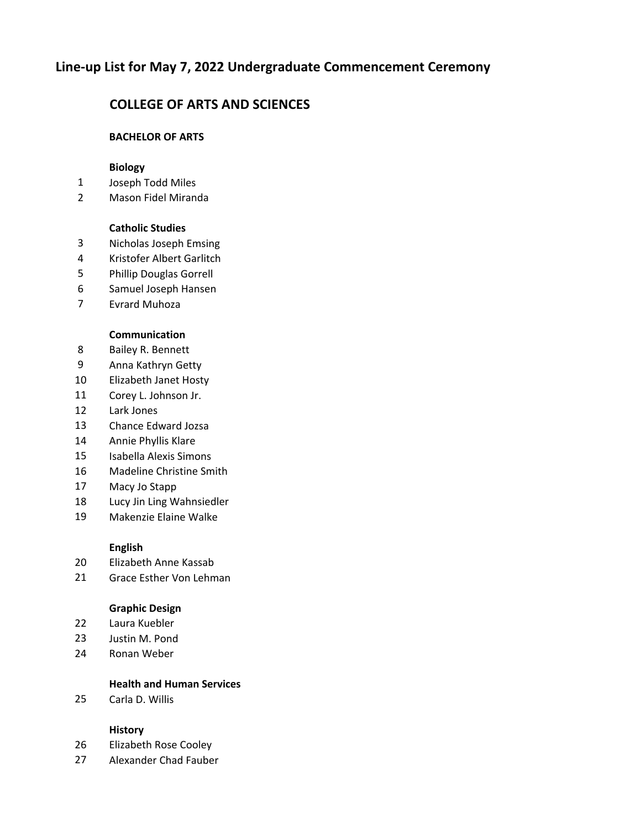# **Line‐up List for May 7, 2022 Undergraduate Commencement Ceremony**

# **COLLEGE OF ARTS AND SCIENCES**

## **BACHELOR OF ARTS**

## **Biology**

- Joseph Todd Miles
- Mason Fidel Miranda

### **Catholic Studies**

- Nicholas Joseph Emsing
- Kristofer Albert Garlitch
- Phillip Douglas Gorrell
- Samuel Joseph Hansen
- Evrard Muhoza

#### **Communication**

- Bailey R. Bennett
- Anna Kathryn Getty
- Elizabeth Janet Hosty
- Corey L. Johnson Jr.
- Lark Jones
- Chance Edward Jozsa
- Annie Phyllis Klare
- Isabella Alexis Simons
- Madeline Christine Smith
- Macy Jo Stapp
- Lucy Jin Ling Wahnsiedler
- Makenzie Elaine Walke

### **English**

- Elizabeth Anne Kassab
- Grace Esther Von Lehman

#### **Graphic Design**

- Laura Kuebler
- Justin M. Pond
- Ronan Weber

### **Health and Human Services**

Carla D. Willis

### **History**

- Elizabeth Rose Cooley
- Alexander Chad Fauber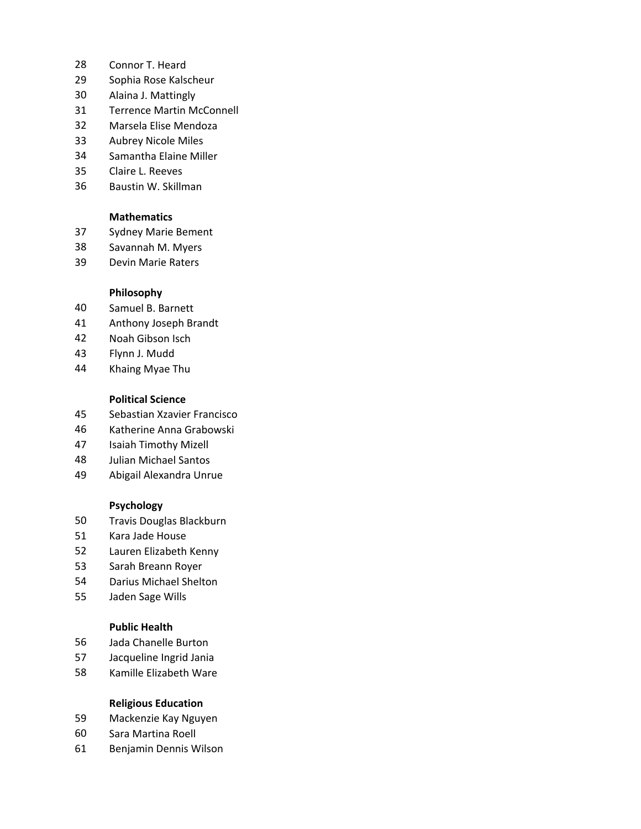- Connor T. Heard
- Sophia Rose Kalscheur
- Alaina J. Mattingly
- Terrence Martin McConnell
- Marsela Elise Mendoza
- Aubrey Nicole Miles
- Samantha Elaine Miller
- Claire L. Reeves
- Baustin W. Skillman

#### **Mathematics**

- Sydney Marie Bement
- Savannah M. Myers
- Devin Marie Raters

#### **Philosophy**

- Samuel B. Barnett
- Anthony Joseph Brandt
- Noah Gibson Isch
- Flynn J. Mudd
- Khaing Myae Thu

### **Political Science**

- Sebastian Xzavier Francisco
- Katherine Anna Grabowski
- Isaiah Timothy Mizell
- Julian Michael Santos
- Abigail Alexandra Unrue

#### **Psychology**

- Travis Douglas Blackburn
- Kara Jade House
- Lauren Elizabeth Kenny
- Sarah Breann Royer
- Darius Michael Shelton
- Jaden Sage Wills

#### **Public Health**

- Jada Chanelle Burton
- Jacqueline Ingrid Jania
- Kamille Elizabeth Ware

### **Religious Education**

- Mackenzie Kay Nguyen
- Sara Martina Roell
- Benjamin Dennis Wilson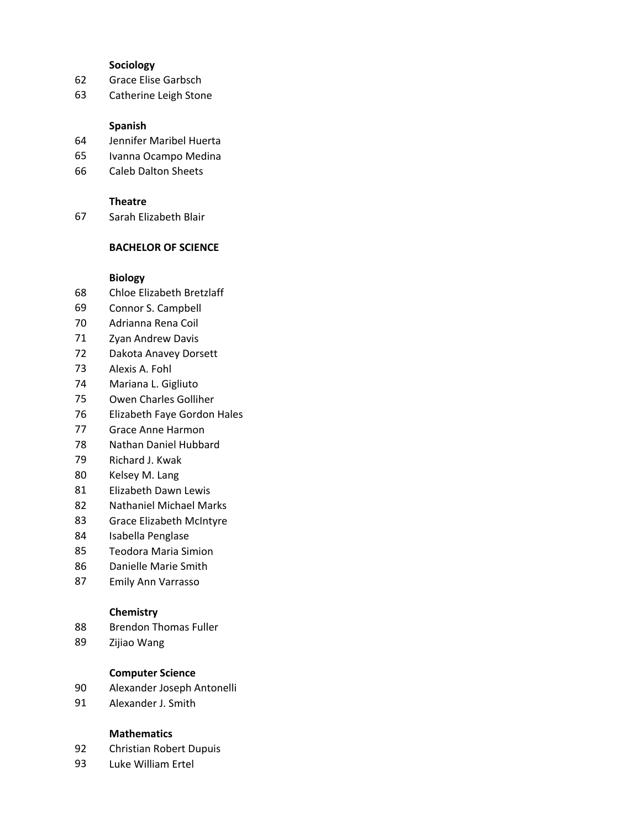#### **Sociology**

- Grace Elise Garbsch
- Catherine Leigh Stone

#### **Spanish**

- Jennifer Maribel Huerta
- Ivanna Ocampo Medina
- Caleb Dalton Sheets

#### **Theatre**

Sarah Elizabeth Blair

## **BACHELOR OF SCIENCE**

### **Biology**

- Chloe Elizabeth Bretzlaff
- Connor S. Campbell
- Adrianna Rena Coil
- Zyan Andrew Davis
- Dakota Anavey Dorsett
- Alexis A. Fohl
- Mariana L. Gigliuto
- Owen Charles Golliher
- Elizabeth Faye Gordon Hales
- Grace Anne Harmon
- Nathan Daniel Hubbard
- Richard J. Kwak
- Kelsey M. Lang
- Elizabeth Dawn Lewis
- Nathaniel Michael Marks
- Grace Elizabeth McIntyre
- Isabella Penglase
- Teodora Maria Simion
- Danielle Marie Smith
- Emily Ann Varrasso

#### **Chemistry**

- Brendon Thomas Fuller
- Zijiao Wang

## **Computer Science**

- Alexander Joseph Antonelli
- Alexander J. Smith

### **Mathematics**

- Christian Robert Dupuis
- Luke William Ertel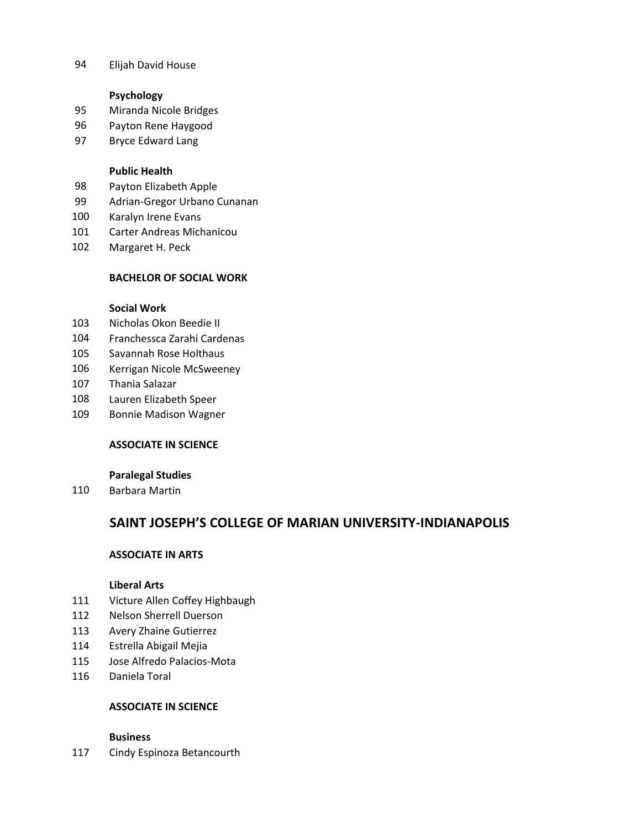Elijah David House

## **Psychology**

- Miranda Nicole Bridges
- Payton Rene Haygood
- Bryce Edward Lang

## **Public Health**

- Payton Elizabeth Apple
- Adrian‐Gregor Urbano Cunanan
- Karalyn Irene Evans
- Carter Andreas Michanicou
- Margaret H. Peck

## **BACHELOR OF SOCIAL WORK**

## **Social Work**

- Nicholas Okon Beedie II
- Franchessca Zarahi Cardenas
- Savannah Rose Holthaus
- Kerrigan Nicole McSweeney
- Thania Salazar
- Lauren Elizabeth Speer
- Bonnie Madison Wagner

## **ASSOCIATE IN SCIENCE**

## **Paralegal Studies**

Barbara Martin

# **SAINT JOSEPH'S COLLEGE OF MARIAN UNIVERSITY‐INDIANAPOLIS**

## **ASSOCIATE IN ARTS**

### **Liberal Arts**

- Victure Allen Coffey Highbaugh
- Nelson Sherrell Duerson
- Avery Zhaine Gutierrez
- Estrella Abigail Mejia
- Jose Alfredo Palacios‐Mota
- Daniela Toral

## **ASSOCIATE IN SCIENCE**

### **Business**

Cindy Espinoza Betancourth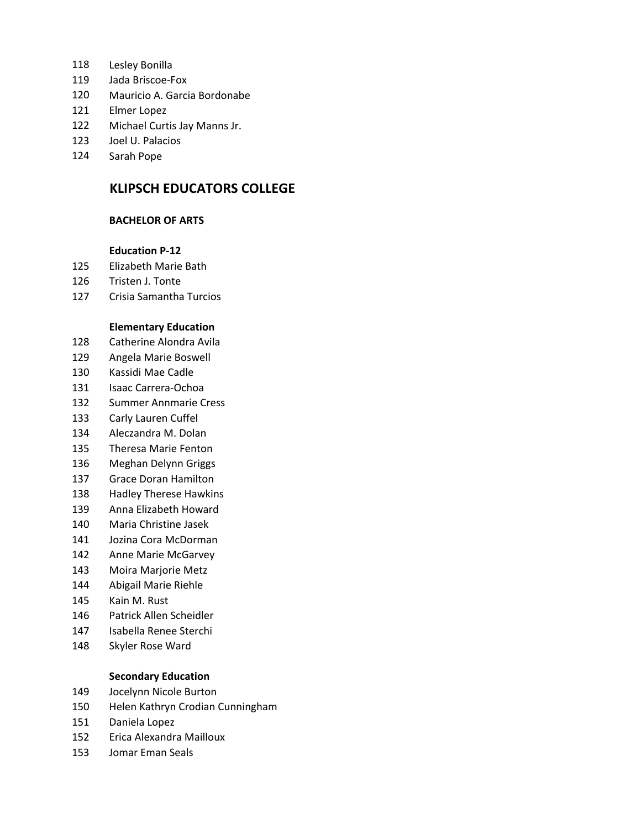- Lesley Bonilla
- 119 Jada Briscoe-Fox
- Mauricio A. Garcia Bordonabe
- Elmer Lopez
- Michael Curtis Jay Manns Jr.
- Joel U. Palacios
- Sarah Pope

# **KLIPSCH EDUCATORS COLLEGE**

### **BACHELOR OF ARTS**

#### **Education P‐12**

- Elizabeth Marie Bath
- Tristen J. Tonte
- Crisia Samantha Turcios

#### **Elementary Education**

- Catherine Alondra Avila
- Angela Marie Boswell
- Kassidi Mae Cadle
- 131 Isaac Carrera-Ochoa
- Summer Annmarie Cress
- Carly Lauren Cuffel
- Aleczandra M. Dolan
- Theresa Marie Fenton
- Meghan Delynn Griggs
- Grace Doran Hamilton
- Hadley Therese Hawkins
- Anna Elizabeth Howard
- Maria Christine Jasek
- Jozina Cora McDorman
- Anne Marie McGarvey
- Moira Marjorie Metz
- Abigail Marie Riehle
- Kain M. Rust
- Patrick Allen Scheidler
- Isabella Renee Sterchi
- Skyler Rose Ward

### **Secondary Education**

- Jocelynn Nicole Burton
- Helen Kathryn Crodian Cunningham
- Daniela Lopez
- Erica Alexandra Mailloux
- Jomar Eman Seals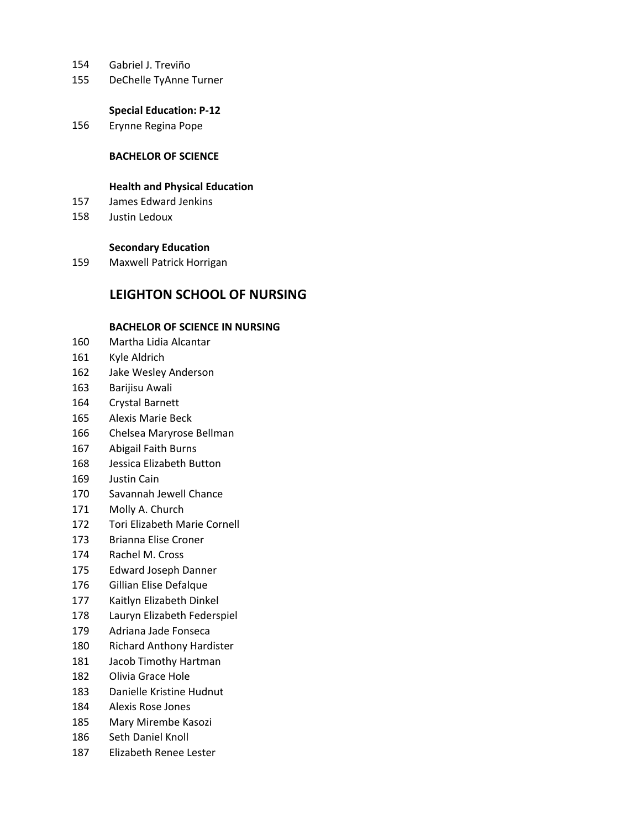- Gabriel J. Treviño
- DeChelle TyAnne Turner

#### **Special Education: P‐12**

Erynne Regina Pope

## **BACHELOR OF SCIENCE**

### **Health and Physical Education**

- James Edward Jenkins
- Justin Ledoux

### **Secondary Education**

Maxwell Patrick Horrigan

# **LEIGHTON SCHOOL OF NURSING**

### **BACHELOR OF SCIENCE IN NURSING**

- Martha Lidia Alcantar
- Kyle Aldrich
- Jake Wesley Anderson
- Barijisu Awali
- Crystal Barnett
- Alexis Marie Beck
- Chelsea Maryrose Bellman
- Abigail Faith Burns
- Jessica Elizabeth Button
- Justin Cain
- Savannah Jewell Chance
- Molly A. Church
- Tori Elizabeth Marie Cornell
- Brianna Elise Croner
- Rachel M. Cross
- Edward Joseph Danner
- Gillian Elise Defalque
- Kaitlyn Elizabeth Dinkel
- Lauryn Elizabeth Federspiel
- Adriana Jade Fonseca
- Richard Anthony Hardister
- Jacob Timothy Hartman
- Olivia Grace Hole
- Danielle Kristine Hudnut
- Alexis Rose Jones
- Mary Mirembe Kasozi
- Seth Daniel Knoll
- Elizabeth Renee Lester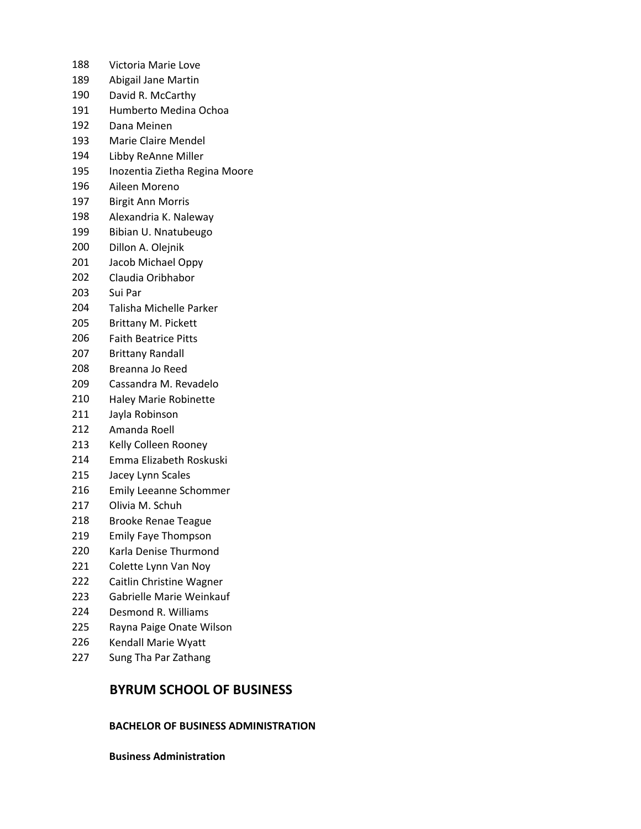- Victoria Marie Love
- Abigail Jane Martin
- David R. McCarthy
- Humberto Medina Ochoa
- Dana Meinen
- Marie Claire Mendel
- Libby ReAnne Miller
- Inozentia Zietha Regina Moore
- Aileen Moreno
- Birgit Ann Morris
- Alexandria K. Naleway
- Bibian U. Nnatubeugo
- Dillon A. Olejnik
- Jacob Michael Oppy
- Claudia Oribhabor
- Sui Par
- Talisha Michelle Parker
- Brittany M. Pickett
- Faith Beatrice Pitts
- Brittany Randall
- Breanna Jo Reed
- Cassandra M. Revadelo
- Haley Marie Robinette
- Jayla Robinson
- Amanda Roell
- Kelly Colleen Rooney
- Emma Elizabeth Roskuski
- Jacey Lynn Scales
- Emily Leeanne Schommer
- Olivia M. Schuh
- Brooke Renae Teague
- Emily Faye Thompson
- Karla Denise Thurmond
- Colette Lynn Van Noy
- Caitlin Christine Wagner
- Gabrielle Marie Weinkauf
- Desmond R. Williams
- Rayna Paige Onate Wilson
- Kendall Marie Wyatt
- Sung Tha Par Zathang

## **BYRUM SCHOOL OF BUSINESS**

## **BACHELOR OF BUSINESS ADMINISTRATION**

**Business Administration**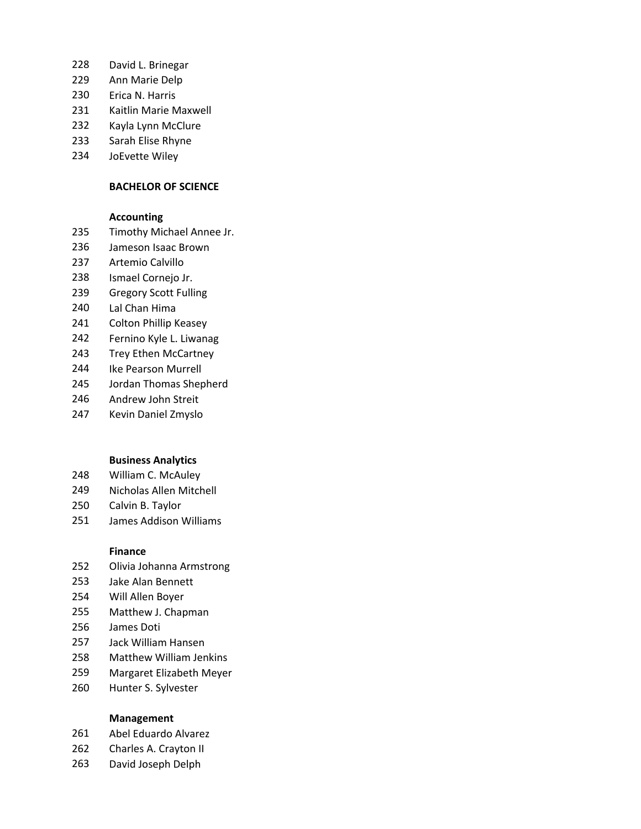- David L. Brinegar
- Ann Marie Delp
- Erica N. Harris
- Kaitlin Marie Maxwell
- Kayla Lynn McClure
- Sarah Elise Rhyne
- JoEvette Wiley

#### **BACHELOR OF SCIENCE**

#### **Accounting**

- Timothy Michael Annee Jr.
- Jameson Isaac Brown
- Artemio Calvillo
- Ismael Cornejo Jr.
- Gregory Scott Fulling
- Lal Chan Hima
- Colton Phillip Keasey
- Fernino Kyle L. Liwanag
- Trey Ethen McCartney
- Ike Pearson Murrell
- Jordan Thomas Shepherd
- Andrew John Streit
- Kevin Daniel Zmyslo

#### **Business Analytics**

- William C. McAuley
- Nicholas Allen Mitchell
- Calvin B. Taylor
- James Addison Williams

#### **Finance**

- Olivia Johanna Armstrong
- Jake Alan Bennett
- Will Allen Boyer
- Matthew J. Chapman
- James Doti
- Jack William Hansen
- Matthew William Jenkins
- Margaret Elizabeth Meyer
- Hunter S. Sylvester

#### **Management**

- Abel Eduardo Alvarez
- 262 Charles A. Crayton II
- David Joseph Delph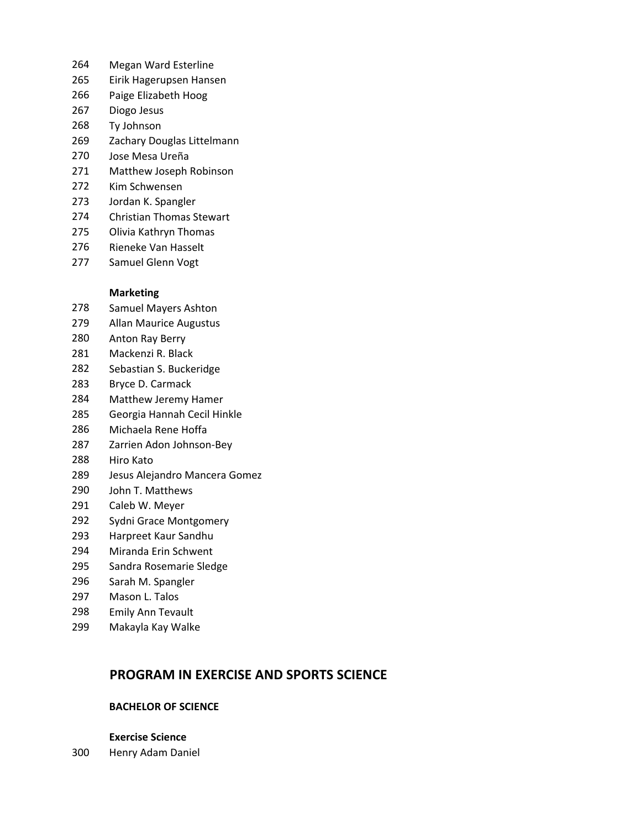- Megan Ward Esterline
- Eirik Hagerupsen Hansen
- Paige Elizabeth Hoog
- Diogo Jesus
- Ty Johnson
- Zachary Douglas Littelmann
- Jose Mesa Ureña
- Matthew Joseph Robinson
- Kim Schwensen
- Jordan K. Spangler
- Christian Thomas Stewart
- Olivia Kathryn Thomas
- Rieneke Van Hasselt
- Samuel Glenn Vogt

### **Marketing**

- Samuel Mayers Ashton
- Allan Maurice Augustus
- Anton Ray Berry
- Mackenzi R. Black
- Sebastian S. Buckeridge
- Bryce D. Carmack
- Matthew Jeremy Hamer
- Georgia Hannah Cecil Hinkle
- Michaela Rene Hoffa
- Zarrien Adon Johnson‐Bey
- Hiro Kato
- Jesus Alejandro Mancera Gomez
- John T. Matthews
- Caleb W. Meyer
- Sydni Grace Montgomery
- Harpreet Kaur Sandhu
- Miranda Erin Schwent
- Sandra Rosemarie Sledge
- Sarah M. Spangler
- Mason L. Talos
- Emily Ann Tevault
- Makayla Kay Walke

# **PROGRAM IN EXERCISE AND SPORTS SCIENCE**

### **BACHELOR OF SCIENCE**

- **Exercise Science**
- Henry Adam Daniel